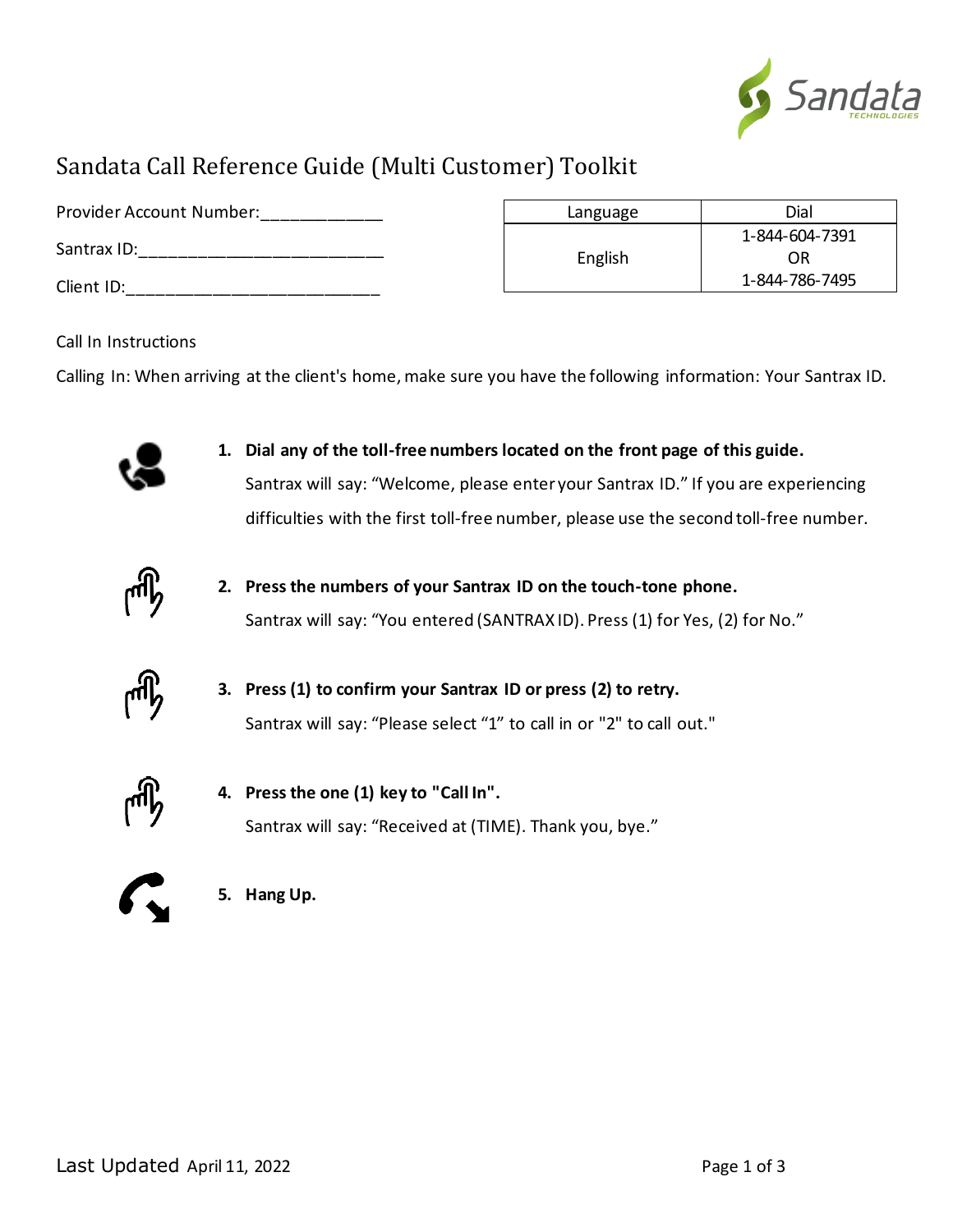

## Sandata Call Reference Guide (Multi Customer) Toolkit

| Provider Account Number: | Language | Dial           |
|--------------------------|----------|----------------|
|                          |          | 1-844-604-7391 |
| Santrax ID:              | English  | OR             |
| Client ID:               |          | 1-844-786-7495 |

#### Call In Instructions

Calling In: When arriving at the client's home, make sure you have the following information: Your Santrax ID.



**1. Dial any of the toll-free numbers located on the front page of this guide.** Santrax will say: "Welcome, please enter your Santrax ID." If you are experiencing difficulties with the first toll-free number, please use the second toll-free number.



**2. Press the numbers of your Santrax ID on the touch-tone phone.** Santrax will say: "You entered (SANTRAX ID). Press (1) for Yes, (2) for No."



**3. Press (1) to confirm your Santrax ID or press (2) to retry.** Santrax will say: "Please select "1" to call in or "2" to call out."



**4. Press the one (1) key to "Call In".** Santrax will say: "Received at (TIME). Thank you, bye."



**5. Hang Up.**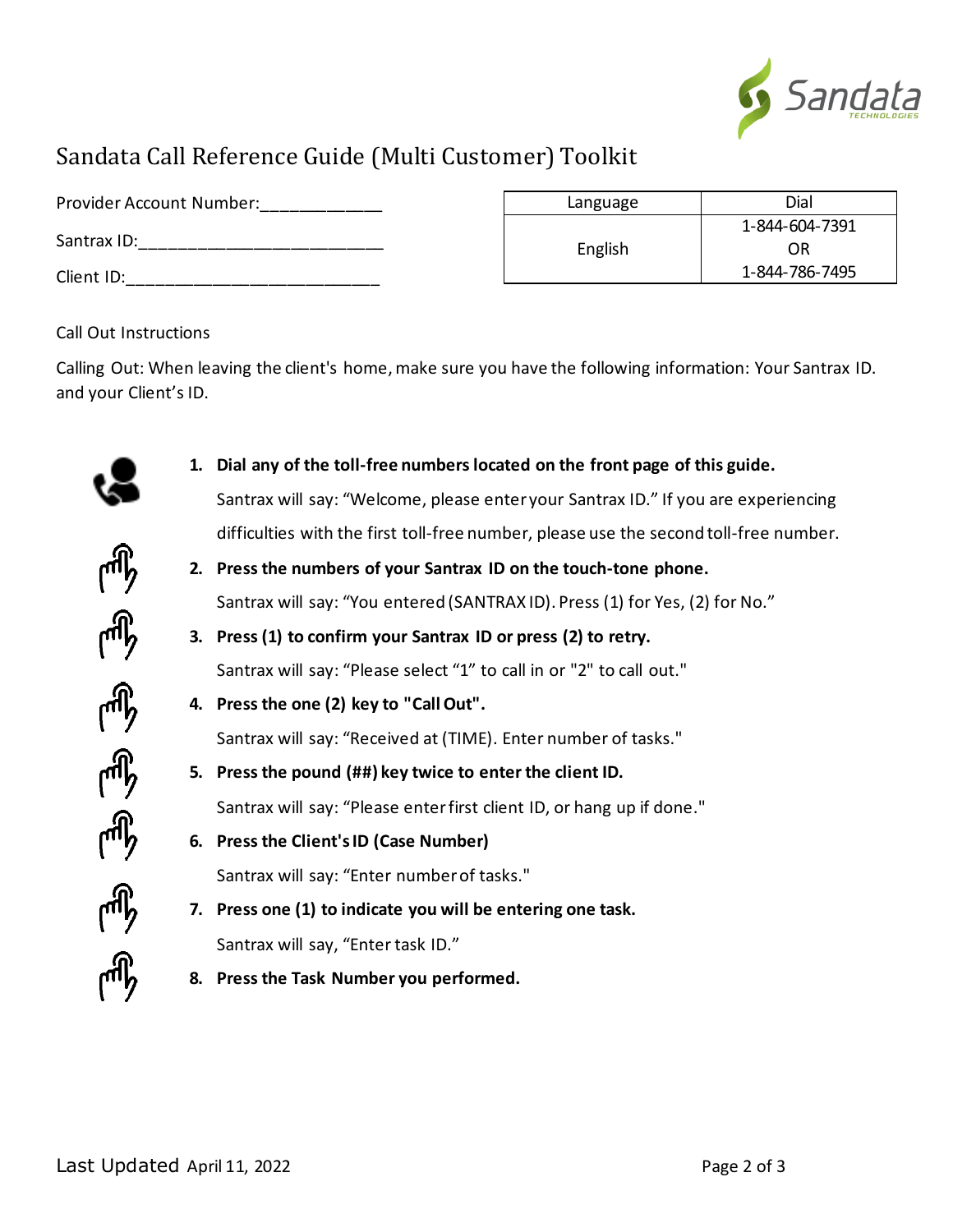

# Sandata Call Reference Guide (Multi Customer) Toolkit

| Provider Account Number:  | Language | Dial                 |
|---------------------------|----------|----------------------|
| Santrax ID:<br>Client ID: | English  | 1-844-604-7391       |
|                           |          | ΟR<br>1-844-786-7495 |

#### Call Out Instructions

Calling Out: When leaving the client's home, make sure you have the following information: Your Santrax ID. and your Client's ID.

**1. Dial any of the toll-free numbers located on the front page of this guide.** Santrax will say: "Welcome, please enter your Santrax ID." If you are experiencing difficulties with the first toll-free number, please use the second toll-free number. **2. Press the numbers of your Santrax ID on the touch-tone phone.** Santrax will say: "You entered (SANTRAX ID). Press (1) for Yes, (2) for No." **3. Press (1) to confirm your Santrax ID or press (2) to retry.** Santrax will say: "Please select "1" to call in or "2" to call out." **4. Press the one (2) key to "Call Out".** Santrax will say: "Received at (TIME). Enter number of tasks." **5. Press the pound (##) key twice to enter the client ID.** Santrax will say: "Please enter first client ID, or hang up if done." **6. Press the Client's ID (Case Number)** Santrax will say: "Enter number of tasks." **7. Press one (1) to indicate you will be entering one task.** Santrax will say, "Enter task ID." **8. Press the Task Number you performed.**